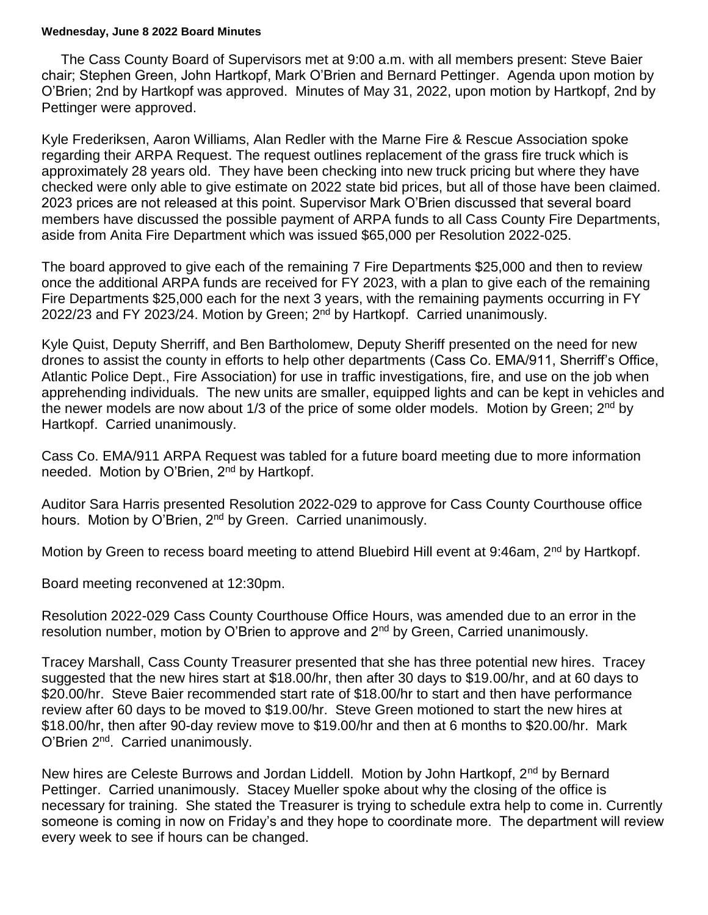## **Wednesday, June 8 2022 Board Minutes**

 The Cass County Board of Supervisors met at 9:00 a.m. with all members present: Steve Baier chair; Stephen Green, John Hartkopf, Mark O'Brien and Bernard Pettinger. Agenda upon motion by O'Brien; 2nd by Hartkopf was approved. Minutes of May 31, 2022, upon motion by Hartkopf, 2nd by Pettinger were approved.

Kyle Frederiksen, Aaron Williams, Alan Redler with the Marne Fire & Rescue Association spoke regarding their ARPA Request. The request outlines replacement of the grass fire truck which is approximately 28 years old. They have been checking into new truck pricing but where they have checked were only able to give estimate on 2022 state bid prices, but all of those have been claimed. 2023 prices are not released at this point. Supervisor Mark O'Brien discussed that several board members have discussed the possible payment of ARPA funds to all Cass County Fire Departments, aside from Anita Fire Department which was issued \$65,000 per Resolution 2022-025.

The board approved to give each of the remaining 7 Fire Departments \$25,000 and then to review once the additional ARPA funds are received for FY 2023, with a plan to give each of the remaining Fire Departments \$25,000 each for the next 3 years, with the remaining payments occurring in FY 2022/23 and FY 2023/24. Motion by Green; 2<sup>nd</sup> by Hartkopf. Carried unanimously.

Kyle Quist, Deputy Sherriff, and Ben Bartholomew, Deputy Sheriff presented on the need for new drones to assist the county in efforts to help other departments (Cass Co. EMA/911, Sherriff's Office, Atlantic Police Dept., Fire Association) for use in traffic investigations, fire, and use on the job when apprehending individuals. The new units are smaller, equipped lights and can be kept in vehicles and the newer models are now about 1/3 of the price of some older models. Motion by Green;  $2^{nd}$  by Hartkopf. Carried unanimously.

Cass Co. EMA/911 ARPA Request was tabled for a future board meeting due to more information needed. Motion by O'Brien, 2<sup>nd</sup> by Hartkopf.

Auditor Sara Harris presented Resolution 2022-029 to approve for Cass County Courthouse office hours. Motion by O'Brien, 2<sup>nd</sup> by Green. Carried unanimously.

Motion by Green to recess board meeting to attend Bluebird Hill event at 9:46am, 2<sup>nd</sup> by Hartkopf.

Board meeting reconvened at 12:30pm.

Resolution 2022-029 Cass County Courthouse Office Hours, was amended due to an error in the resolution number, motion by O'Brien to approve and 2<sup>nd</sup> by Green, Carried unanimously.

Tracey Marshall, Cass County Treasurer presented that she has three potential new hires. Tracey suggested that the new hires start at \$18.00/hr, then after 30 days to \$19.00/hr, and at 60 days to \$20.00/hr. Steve Baier recommended start rate of \$18.00/hr to start and then have performance review after 60 days to be moved to \$19.00/hr. Steve Green motioned to start the new hires at \$18.00/hr, then after 90-day review move to \$19.00/hr and then at 6 months to \$20.00/hr. Mark O'Brien 2<sup>nd</sup>. Carried unanimously.

New hires are Celeste Burrows and Jordan Liddell. Motion by John Hartkopf, 2<sup>nd</sup> by Bernard Pettinger. Carried unanimously. Stacey Mueller spoke about why the closing of the office is necessary for training. She stated the Treasurer is trying to schedule extra help to come in. Currently someone is coming in now on Friday's and they hope to coordinate more. The department will review every week to see if hours can be changed.